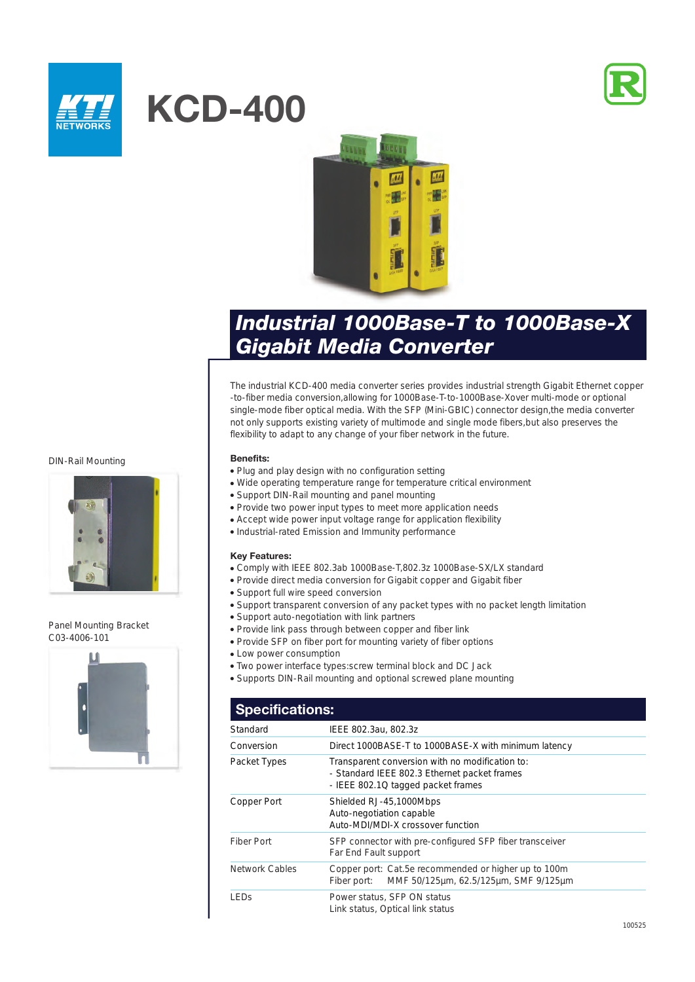



# **KCD-400**



# *Industrial 1000Base-T to 1000Base-X Gigabit Media Converter*

The industrial KCD-400 media converter series provides industrial strength Gigabit Ethernet copper -to-fiber media conversion,allowing for 1000Base-T-to-1000Base-Xover multi-mode or optional single-mode fiber optical media. With the SFP (Mini-GBIC) connector design,the media converter not only supports existing variety of multimode and single mode fibers,but also preserves the flexibility to adapt to any change of your fiber network in the future.

#### DIN-Rail Mounting



#### Panel Mounting Bracket C03-4006-101



#### **Benefits:**

- Plug and play design with no configuration setting
- Wide operating temperature range for temperature critical environment
- Support DIN-Rail mounting and panel mounting
- Provide two power input types to meet more application needs
- Accept wide power input voltage range for application flexibility
- Industrial-rated Emission and Immunity performance

#### **Key Features:**

- Comply with IEEE 802.3ab 1000Base-T,802.3z 1000Base-SX/LX standard
- Provide direct media conversion for Gigabit copper and Gigabit fiber
- Support full wire speed conversion
- Support transparent conversion of any packet types with no packet length limitation
- Support auto-negotiation with link partners
- Provide link pass through between copper and fiber link
- Provide SFP on fiber port for mounting variety of fiber options
- Low power consumption
- Two power interface types:screw terminal block and DC Jack
- Supports DIN-Rail mounting and optional screwed plane mounting

| <b>Specifications:</b> |                                                                                                                                       |  |
|------------------------|---------------------------------------------------------------------------------------------------------------------------------------|--|
| Standard               | IEEE 802.3au, 802.3z                                                                                                                  |  |
| Conversion             | Direct 1000BASE-T to 1000BASE-X with minimum latency                                                                                  |  |
| Packet Types           | Transparent conversion with no modification to:<br>- Standard IEEE 802.3 Ethernet packet frames<br>- IEEE 802.1Q tagged packet frames |  |
| Copper Port            | Shielded RJ-45,1000Mbps<br>Auto-negotiation capable<br>Auto-MDI/MDI-X crossover function                                              |  |
| Fiber Port             | SFP connector with pre-configured SFP fiber transceiver<br>Far End Fault support                                                      |  |
| <b>Network Cables</b>  | Copper port: Cat.5e recommended or higher up to 100m<br>MMF 50/125µm, 62.5/125µm, SMF 9/125µm<br>Fiber port:                          |  |
| <b>LED<sub>S</sub></b> | Power status, SFP ON status<br>Link status, Optical link status                                                                       |  |